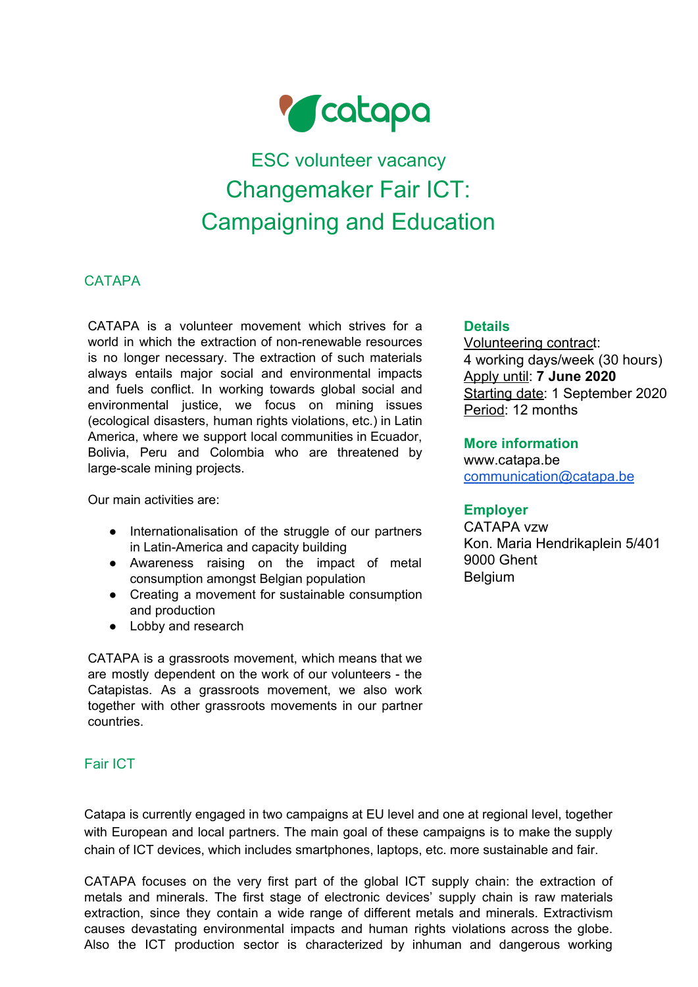

# ESC volunteer vacancy Changemaker Fair ICT: Campaigning and Education

# **CATAPA**

CATAPA is a volunteer movement which strives for a world in which the extraction of non-renewable resources is no longer necessary. The extraction of such materials always entails major social and environmental impacts and fuels conflict. In working towards global social and environmental justice, we focus on mining issues (ecological disasters, human rights violations, etc.) in Latin America, where we support local communities in Ecuador, Bolivia, Peru and Colombia who are threatened by large-scale mining projects.

Our main activities are:

- Internationalisation of the struggle of our partners in Latin-America and capacity building
- Awareness raising on the impact of metal consumption amongst Belgian population
- Creating a movement for sustainable consumption and production
- Lobby and research

CATAPA is a grassroots movement, which means that we are mostly dependent on the work of our volunteers - the Catapistas. As a grassroots movement, we also work together with other grassroots movements in our partner countries.

# Fair ICT

Catapa is currently engaged in two campaigns at EU level and one at regional level, together with European and local partners. The main goal of these campaigns is to make the supply chain of ICT devices, which includes smartphones, laptops, etc. more sustainable and fair.

CATAPA focuses on the very first part of the global ICT supply chain: the extraction of metals and minerals. The first stage of electronic devices' supply chain is raw materials extraction, since they contain a wide range of different metals and minerals. Extractivism causes devastating environmental impacts and human rights violations across the globe. Also the ICT production sector is characterized by inhuman and dangerous working

#### **Details**

Volunteering contract: 4 working days/week (30 hours) Apply until: **7 June 2020** Starting date: 1 September 2020 Period: 12 months

#### **More information**

www.catapa.be [communication@catapa.be](mailto:communication@catapa.be)

## **Employer**

CATAPA vzw Kon. Maria Hendrikaplein 5/401 9000 Ghent Belgium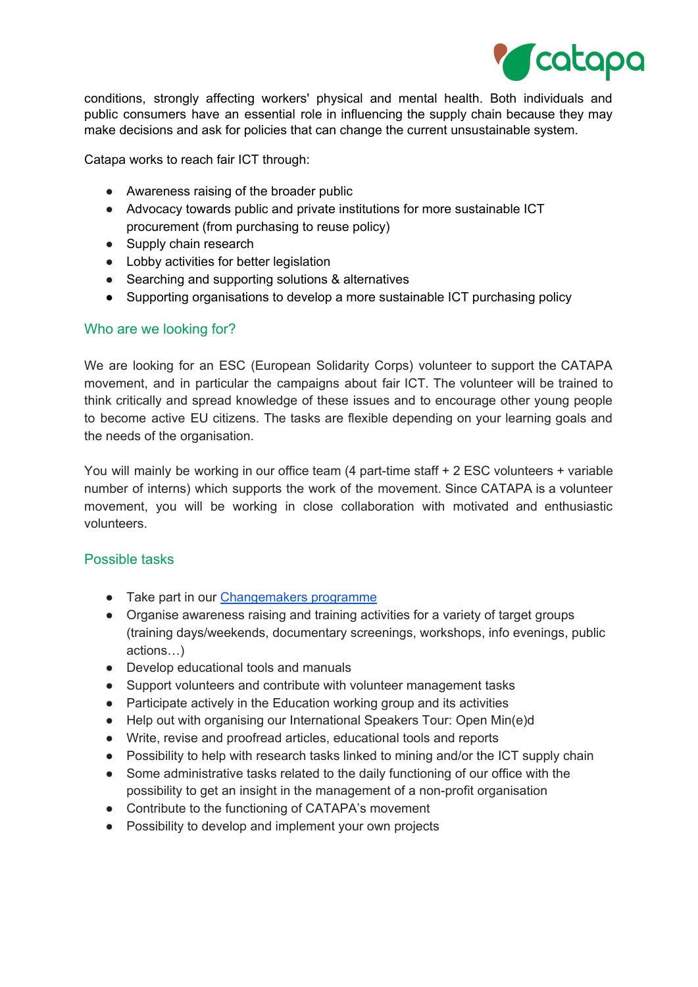

conditions, strongly affecting workers' physical and mental health. Both individuals and public consumers have an essential role in influencing the supply chain because they may make decisions and ask for policies that can change the current unsustainable system.

Catapa works to reach fair ICT through:

- Awareness raising of the broader public
- Advocacy towards public and private institutions for more sustainable ICT procurement (from purchasing to reuse policy)
- Supply chain research
- Lobby activities for better legislation
- Searching and supporting solutions & alternatives
- Supporting organisations to develop a more sustainable ICT purchasing policy

#### Who are we looking for?

We are looking for an ESC (European Solidarity Corps) volunteer to support the CATAPA movement, and in particular the campaigns about fair ICT. The volunteer will be trained to think critically and spread knowledge of these issues and to encourage other young people to become active EU citizens. The tasks are flexible depending on your learning goals and the needs of the organisation.

You will mainly be working in our office team (4 part-time staff + 2 ESC volunteers + variable number of interns) which supports the work of the movement. Since CATAPA is a volunteer movement, you will be working in close collaboration with motivated and enthusiastic volunteers.

#### Possible tasks

- Take part in our [Changemakers](https://catapa.be/en/act-now/become-a-change-maker/) programme
- Organise awareness raising and training activities for a variety of target groups (training days/weekends, documentary screenings, workshops, info evenings, public actions…)
- Develop educational tools and manuals
- Support volunteers and contribute with volunteer management tasks
- Participate actively in the Education working group and its activities
- Help out with organising our International Speakers Tour: Open Min(e)d
- Write, revise and proofread articles, educational tools and reports
- Possibility to help with research tasks linked to mining and/or the ICT supply chain
- Some administrative tasks related to the daily functioning of our office with the possibility to get an insight in the management of a non-profit organisation
- Contribute to the functioning of CATAPA's movement
- Possibility to develop and implement your own projects